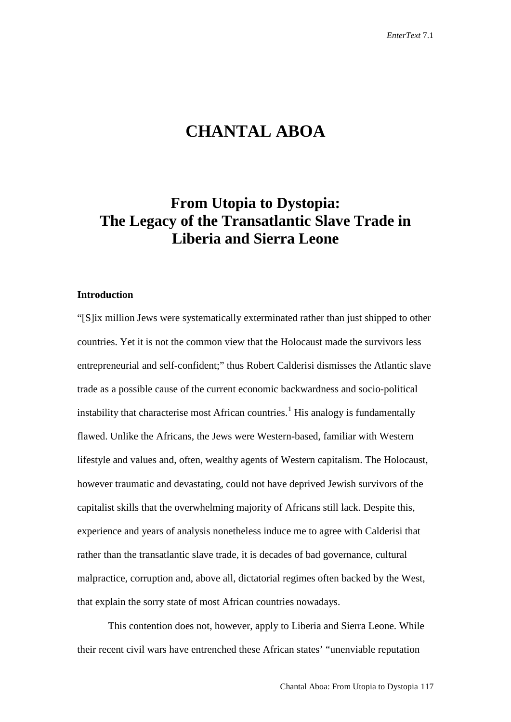# **CHANTAL ABOA**

## **From Utopia to Dystopia: The Legacy of the Transatlantic Slave Trade in Liberia and Sierra Leone**

## **Introduction**

"[S]ix million Jews were systematically exterminated rather than just shipped to other countries. Yet it is not the common view that the Holocaust made the survivors less entrepreneurial and self-confident;" thus Robert Calderisi dismisses the Atlantic slave trade as a possible cause of the current economic backwardness and socio-political instability that characterise most African countries.<sup>[1](#page-17-0)</sup> His analogy is fundamentally flawed. Unlike the Africans, the Jews were Western-based, familiar with Western lifestyle and values and, often, wealthy agents of Western capitalism. The Holocaust, however traumatic and devastating, could not have deprived Jewish survivors of the capitalist skills that the overwhelming majority of Africans still lack. Despite this, experience and years of analysis nonetheless induce me to agree with Calderisi that rather than the transatlantic slave trade, it is decades of bad governance, cultural malpractice, corruption and, above all, dictatorial regimes often backed by the West, that explain the sorry state of most African countries nowadays.

This contention does not, however, apply to Liberia and Sierra Leone. While their recent civil wars have entrenched these African states' "unenviable reputation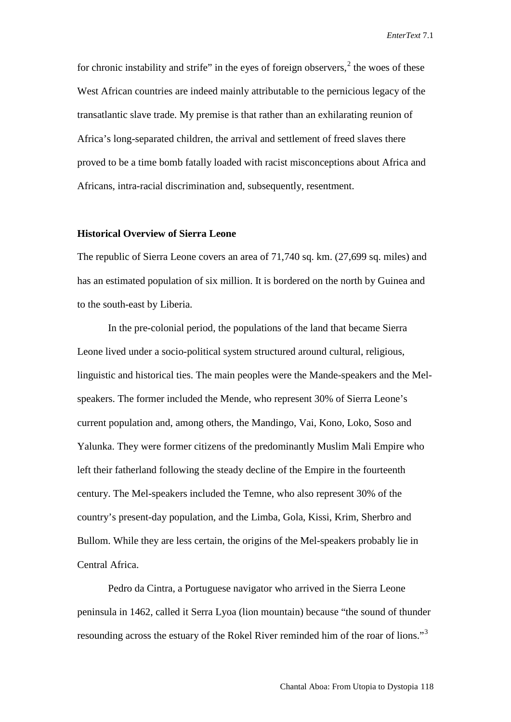for chronic instability and strife" in the eyes of foreign observers,  $2$  the woes of these West African countries are indeed mainly attributable to the pernicious legacy of the transatlantic slave trade. My premise is that rather than an exhilarating reunion of Africa's long-separated children, the arrival and settlement of freed slaves there proved to be a time bomb fatally loaded with racist misconceptions about Africa and Africans, intra-racial discrimination and, subsequently, resentment.

#### **Historical Overview of Sierra Leone**

The republic of Sierra Leone covers an area of 71,740 sq. km. (27,699 sq. miles) and has an estimated population of six million. It is bordered on the north by Guinea and to the south-east by Liberia.

In the pre-colonial period, the populations of the land that became Sierra Leone lived under a socio-political system structured around cultural, religious, linguistic and historical ties. The main peoples were the Mande-speakers and the Melspeakers. The former included the Mende, who represent 30% of Sierra Leone's current population and, among others, the Mandingo, Vai, Kono, Loko, Soso and Yalunka. They were former citizens of the predominantly Muslim Mali Empire who left their fatherland following the steady decline of the Empire in the fourteenth century. The Mel-speakers included the Temne, who also represent 30% of the country's present-day population, and the Limba, Gola, Kissi, Krim, Sherbro and Bullom. While they are less certain, the origins of the Mel-speakers probably lie in Central Africa.

Pedro da Cintra, a Portuguese navigator who arrived in the Sierra Leone peninsula in 1462, called it Serra Lyoa (lion mountain) because "the sound of thunder resounding across the estuary of the Rokel River reminded him of the roar of lions."[3](#page-18-1)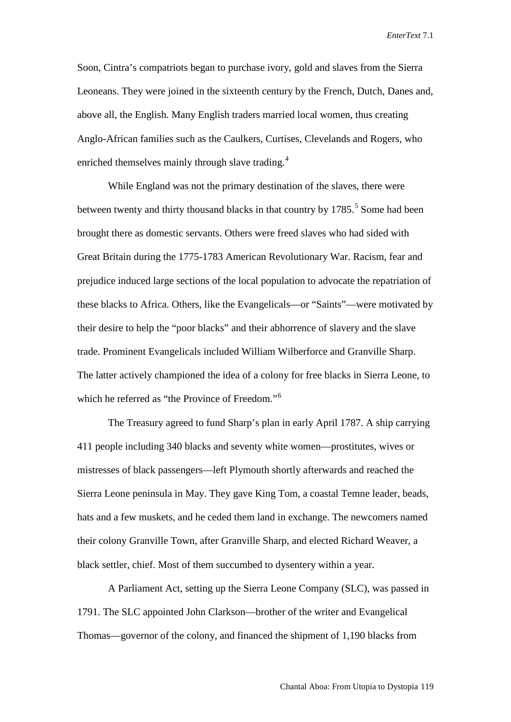Soon, Cintra's compatriots began to purchase ivory, gold and slaves from the Sierra Leoneans. They were joined in the sixteenth century by the French, Dutch, Danes and, above all, the English. Many English traders married local women, thus creating Anglo-African families such as the Caulkers, Curtises, Clevelands and Rogers, who enriched themselves mainly through slave trading.<sup>[4](#page-18-2)</sup>

While England was not the primary destination of the slaves, there were between twenty and thirty thousand blacks in that country by  $1785$  $1785$ .<sup>5</sup> Some had been brought there as domestic servants. Others were freed slaves who had sided with Great Britain during the 1775-1783 American Revolutionary War. Racism, fear and prejudice induced large sections of the local population to advocate the repatriation of these blacks to Africa. Others, like the Evangelicals—or "Saints"—were motivated by their desire to help the "poor blacks" and their abhorrence of slavery and the slave trade. Prominent Evangelicals included William Wilberforce and Granville Sharp. The latter actively championed the idea of a colony for free blacks in Sierra Leone, to which he referred as "the Province of Freedom."<sup>[6](#page-18-4)</sup>

The Treasury agreed to fund Sharp's plan in early April 1787. A ship carrying 411 people including 340 blacks and seventy white women—prostitutes, wives or mistresses of black passengers—left Plymouth shortly afterwards and reached the Sierra Leone peninsula in May. They gave King Tom, a coastal Temne leader, beads, hats and a few muskets, and he ceded them land in exchange. The newcomers named their colony Granville Town, after Granville Sharp, and elected Richard Weaver, a black settler, chief. Most of them succumbed to dysentery within a year.

A Parliament Act, setting up the Sierra Leone Company (SLC), was passed in 1791. The SLC appointed John Clarkson—brother of the writer and Evangelical Thomas—governor of the colony, and financed the shipment of 1,190 blacks from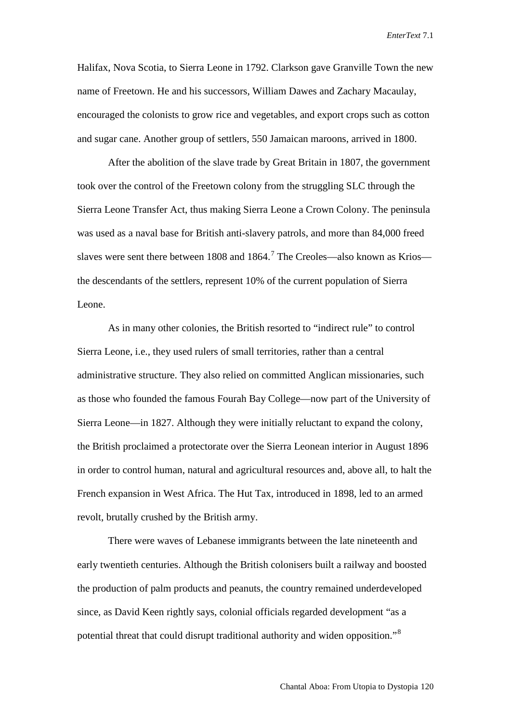Halifax, Nova Scotia, to Sierra Leone in 1792. Clarkson gave Granville Town the new name of Freetown. He and his successors, William Dawes and Zachary Macaulay, encouraged the colonists to grow rice and vegetables, and export crops such as cotton and sugar cane. Another group of settlers, 550 Jamaican maroons, arrived in 1800.

After the abolition of the slave trade by Great Britain in 1807, the government took over the control of the Freetown colony from the struggling SLC through the Sierra Leone Transfer Act, thus making Sierra Leone a Crown Colony. The peninsula was used as a naval base for British anti-slavery patrols, and more than 84,000 freed slaves were sent there between 1808 and 1864.<sup>[7](#page-18-5)</sup> The Creoles—also known as Krios the descendants of the settlers, represent 10% of the current population of Sierra Leone.

As in many other colonies, the British resorted to "indirect rule" to control Sierra Leone, i.e., they used rulers of small territories, rather than a central administrative structure. They also relied on committed Anglican missionaries, such as those who founded the famous Fourah Bay College—now part of the University of Sierra Leone—in 1827. Although they were initially reluctant to expand the colony, the British proclaimed a protectorate over the Sierra Leonean interior in August 1896 in order to control human, natural and agricultural resources and, above all, to halt the French expansion in West Africa. The Hut Tax, introduced in 1898, led to an armed revolt, brutally crushed by the British army.

There were waves of Lebanese immigrants between the late nineteenth and early twentieth centuries. Although the British colonisers built a railway and boosted the production of palm products and peanuts, the country remained underdeveloped since, as David Keen rightly says, colonial officials regarded development "as a potential threat that could disrupt traditional authority and widen opposition."[8](#page-18-6)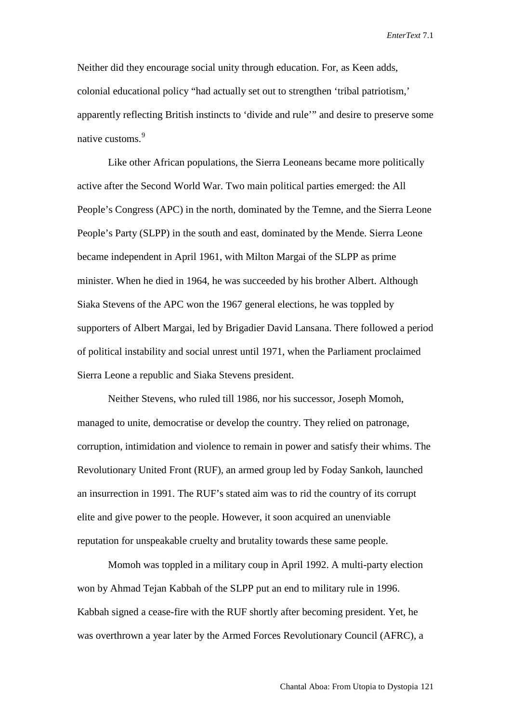Neither did they encourage social unity through education. For, as Keen adds, colonial educational policy "had actually set out to strengthen 'tribal patriotism,' apparently reflecting British instincts to 'divide and rule'" and desire to preserve some native customs.<sup>[9](#page-18-7)</sup>

Like other African populations, the Sierra Leoneans became more politically active after the Second World War. Two main political parties emerged: the All People's Congress (APC) in the north, dominated by the Temne, and the Sierra Leone People's Party (SLPP) in the south and east, dominated by the Mende. Sierra Leone became independent in April 1961, with Milton Margai of the SLPP as prime minister. When he died in 1964, he was succeeded by his brother Albert. Although Siaka Stevens of the APC won the 1967 general elections, he was toppled by supporters of Albert Margai, led by Brigadier David Lansana. There followed a period of political instability and social unrest until 1971, when the Parliament proclaimed Sierra Leone a republic and Siaka Stevens president.

Neither Stevens, who ruled till 1986, nor his successor, Joseph Momoh, managed to unite, democratise or develop the country. They relied on patronage, corruption, intimidation and violence to remain in power and satisfy their whims. The Revolutionary United Front (RUF), an armed group led by Foday Sankoh, launched an insurrection in 1991. The RUF's stated aim was to rid the country of its corrupt elite and give power to the people. However, it soon acquired an unenviable reputation for unspeakable cruelty and brutality towards these same people.

Momoh was toppled in a military coup in April 1992. A multi-party election won by Ahmad Tejan Kabbah of the SLPP put an end to military rule in 1996. Kabbah signed a cease-fire with the RUF shortly after becoming president. Yet, he was overthrown a year later by the Armed Forces Revolutionary Council (AFRC), a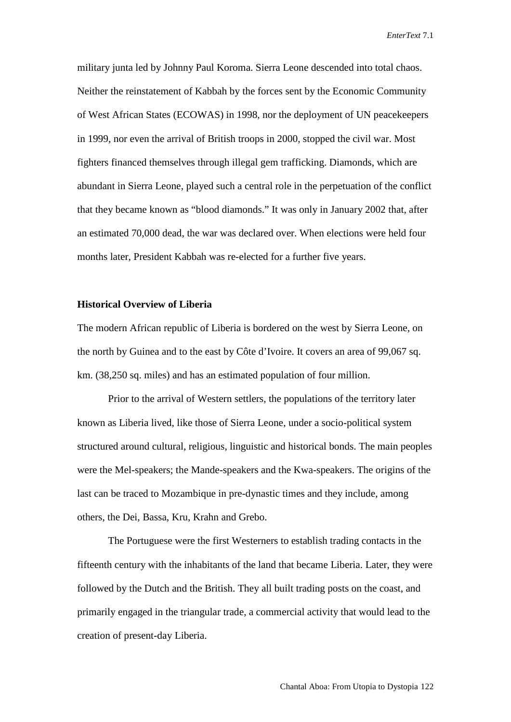military junta led by Johnny Paul Koroma. Sierra Leone descended into total chaos. Neither the reinstatement of Kabbah by the forces sent by the Economic Community of West African States (ECOWAS) in 1998, nor the deployment of UN peacekeepers in 1999, nor even the arrival of British troops in 2000, stopped the civil war. Most fighters financed themselves through illegal gem trafficking. Diamonds, which are abundant in Sierra Leone, played such a central role in the perpetuation of the conflict that they became known as "blood diamonds." It was only in January 2002 that, after an estimated 70,000 dead, the war was declared over. When elections were held four months later, President Kabbah was re-elected for a further five years.

## **Historical Overview of Liberia**

The modern African republic of Liberia is bordered on the west by Sierra Leone, on the north by Guinea and to the east by Côte d'Ivoire. It covers an area of 99,067 sq. km. (38,250 sq. miles) and has an estimated population of four million.

Prior to the arrival of Western settlers, the populations of the territory later known as Liberia lived, like those of Sierra Leone, under a socio-political system structured around cultural, religious, linguistic and historical bonds. The main peoples were the Mel-speakers; the Mande-speakers and the Kwa-speakers. The origins of the last can be traced to Mozambique in pre-dynastic times and they include, among others, the Dei, Bassa, Kru, Krahn and Grebo.

The Portuguese were the first Westerners to establish trading contacts in the fifteenth century with the inhabitants of the land that became Liberia. Later, they were followed by the Dutch and the British. They all built trading posts on the coast, and primarily engaged in the triangular trade, a commercial activity that would lead to the creation of present-day Liberia.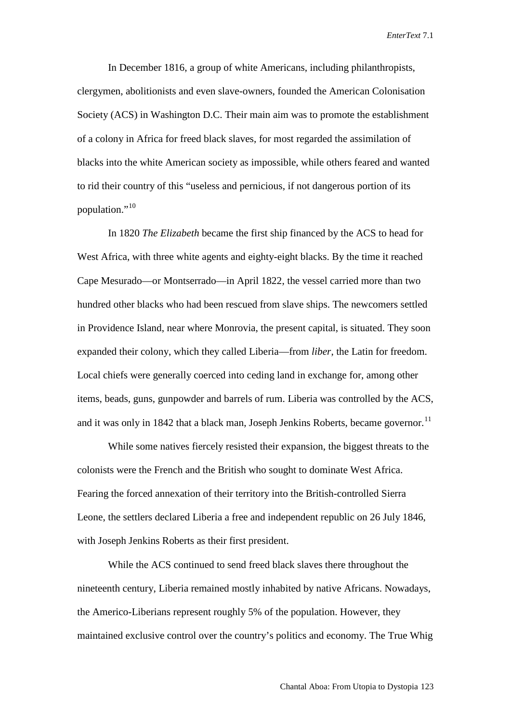In December 1816, a group of white Americans, including philanthropists, clergymen, abolitionists and even slave-owners, founded the American Colonisation Society (ACS) in Washington D.C. Their main aim was to promote the establishment of a colony in Africa for freed black slaves, for most regarded the assimilation of blacks into the white American society as impossible, while others feared and wanted to rid their country of this "useless and pernicious, if not dangerous portion of its population."<sup>[10](#page-18-8)</sup>

In 1820 *The Elizabeth* became the first ship financed by the ACS to head for West Africa, with three white agents and eighty-eight blacks. By the time it reached Cape Mesurado—or Montserrado—in April 1822, the vessel carried more than two hundred other blacks who had been rescued from slave ships. The newcomers settled in Providence Island, near where Monrovia, the present capital, is situated. They soon expanded their colony, which they called Liberia—from *liber*, the Latin for freedom. Local chiefs were generally coerced into ceding land in exchange for, among other items, beads, guns, gunpowder and barrels of rum. Liberia was controlled by the ACS, and it was only in 1842 that a black man, Joseph Jenkins Roberts, became governor.<sup>[11](#page-18-9)</sup>

While some natives fiercely resisted their expansion, the biggest threats to the colonists were the French and the British who sought to dominate West Africa. Fearing the forced annexation of their territory into the British-controlled Sierra Leone, the settlers declared Liberia a free and independent republic on 26 July 1846, with Joseph Jenkins Roberts as their first president.

While the ACS continued to send freed black slaves there throughout the nineteenth century, Liberia remained mostly inhabited by native Africans. Nowadays, the Americo-Liberians represent roughly 5% of the population. However, they maintained exclusive control over the country's politics and economy. The True Whig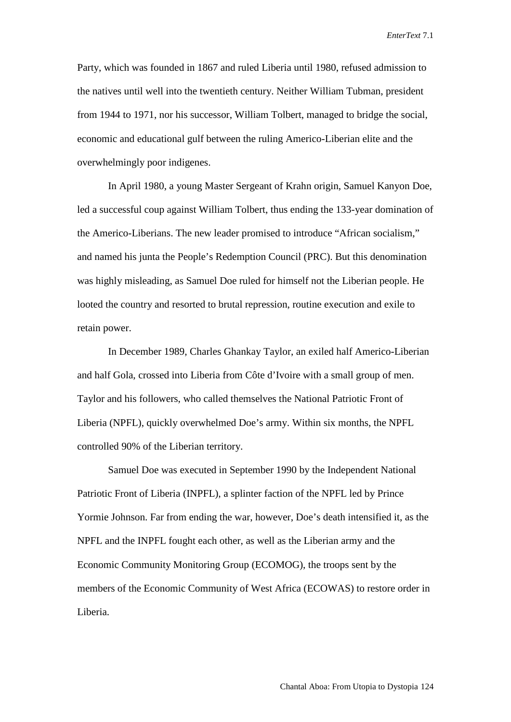Party, which was founded in 1867 and ruled Liberia until 1980, refused admission to the natives until well into the twentieth century. Neither William Tubman, president from 1944 to 1971, nor his successor, William Tolbert, managed to bridge the social, economic and educational gulf between the ruling Americo-Liberian elite and the overwhelmingly poor indigenes.

In April 1980, a young Master Sergeant of Krahn origin, Samuel Kanyon Doe, led a successful coup against William Tolbert, thus ending the 133-year domination of the Americo-Liberians. The new leader promised to introduce "African socialism," and named his junta the People's Redemption Council (PRC). But this denomination was highly misleading, as Samuel Doe ruled for himself not the Liberian people. He looted the country and resorted to brutal repression, routine execution and exile to retain power.

In December 1989, Charles Ghankay Taylor, an exiled half Americo-Liberian and half Gola, crossed into Liberia from Côte d'Ivoire with a small group of men. Taylor and his followers, who called themselves the National Patriotic Front of Liberia (NPFL), quickly overwhelmed Doe's army. Within six months, the NPFL controlled 90% of the Liberian territory.

Samuel Doe was executed in September 1990 by the Independent National Patriotic Front of Liberia (INPFL), a splinter faction of the NPFL led by Prince Yormie Johnson. Far from ending the war, however, Doe's death intensified it, as the NPFL and the INPFL fought each other, as well as the Liberian army and the Economic Community Monitoring Group (ECOMOG), the troops sent by the members of the Economic Community of West Africa (ECOWAS) to restore order in Liberia.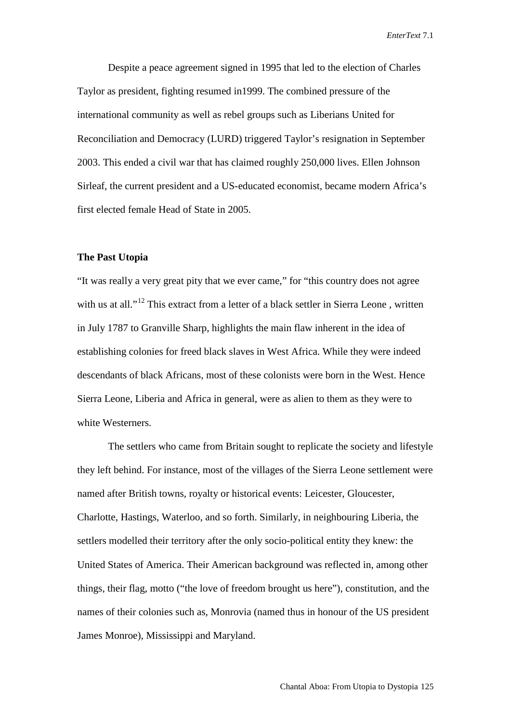Despite a peace agreement signed in 1995 that led to the election of Charles Taylor as president, fighting resumed in1999. The combined pressure of the international community as well as rebel groups such as Liberians United for Reconciliation and Democracy (LURD) triggered Taylor's resignation in September 2003. This ended a civil war that has claimed roughly 250,000 lives. Ellen Johnson Sirleaf, the current president and a US-educated economist, became modern Africa's first elected female Head of State in 2005.

#### **The Past Utopia**

"It was really a very great pity that we ever came," for "this country does not agree with us at all."<sup>[12](#page-18-10)</sup> This extract from a letter of a black settler in Sierra Leone, written in July 1787 to Granville Sharp, highlights the main flaw inherent in the idea of establishing colonies for freed black slaves in West Africa. While they were indeed descendants of black Africans, most of these colonists were born in the West. Hence Sierra Leone, Liberia and Africa in general, were as alien to them as they were to white Westerners.

The settlers who came from Britain sought to replicate the society and lifestyle they left behind. For instance, most of the villages of the Sierra Leone settlement were named after British towns, royalty or historical events: Leicester, Gloucester, Charlotte, Hastings, Waterloo, and so forth. Similarly, in neighbouring Liberia, the settlers modelled their territory after the only socio-political entity they knew: the United States of America. Their American background was reflected in, among other things, their flag, motto ("the love of freedom brought us here"), constitution, and the names of their colonies such as, Monrovia (named thus in honour of the US president James Monroe), Mississippi and Maryland.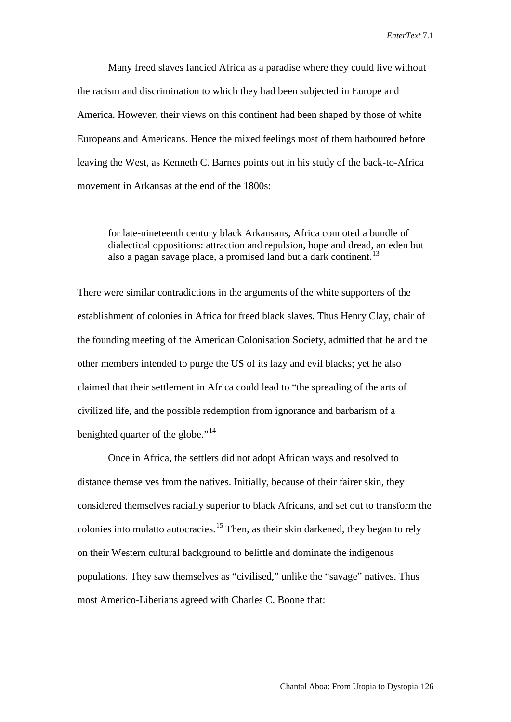Many freed slaves fancied Africa as a paradise where they could live without the racism and discrimination to which they had been subjected in Europe and America. However, their views on this continent had been shaped by those of white Europeans and Americans. Hence the mixed feelings most of them harboured before leaving the West, as Kenneth C. Barnes points out in his study of the back-to-Africa movement in Arkansas at the end of the 1800s:

for late-nineteenth century black Arkansans, Africa connoted a bundle of dialectical oppositions: attraction and repulsion, hope and dread, an eden but also a pagan savage place, a promised land but a dark continent.<sup>[13](#page-18-11)</sup>

There were similar contradictions in the arguments of the white supporters of the establishment of colonies in Africa for freed black slaves. Thus Henry Clay, chair of the founding meeting of the American Colonisation Society, admitted that he and the other members intended to purge the US of its lazy and evil blacks; yet he also claimed that their settlement in Africa could lead to "the spreading of the arts of civilized life, and the possible redemption from ignorance and barbarism of a benighted quarter of the globe."<sup>[14](#page-18-12)</sup>

Once in Africa, the settlers did not adopt African ways and resolved to distance themselves from the natives. Initially, because of their fairer skin, they considered themselves racially superior to black Africans, and set out to transform the colonies into mulatto autocracies.<sup>[15](#page-18-13)</sup> Then, as their skin darkened, they began to rely on their Western cultural background to belittle and dominate the indigenous populations. They saw themselves as "civilised," unlike the "savage" natives. Thus most Americo-Liberians agreed with Charles C. Boone that: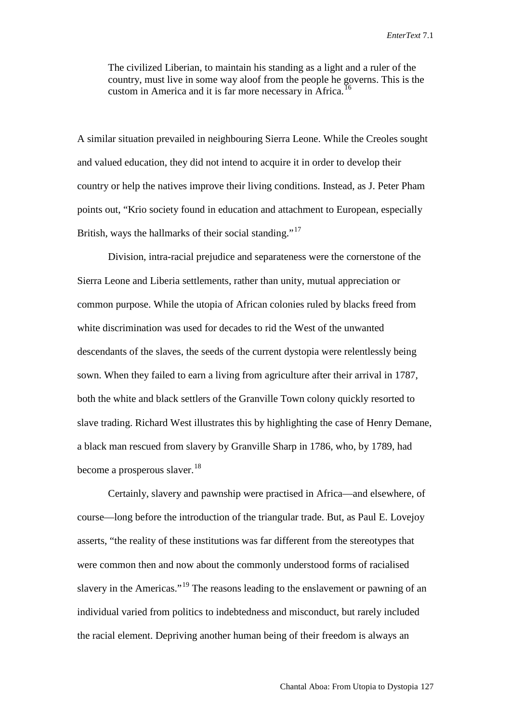The civilized Liberian, to maintain his standing as a light and a ruler of the country, must live in some way aloof from the people he governs. This is the custom in America and it is far more necessary in Africa.<sup>[16](#page-18-14)</sup>

A similar situation prevailed in neighbouring Sierra Leone. While the Creoles sought and valued education, they did not intend to acquire it in order to develop their country or help the natives improve their living conditions. Instead, as J. Peter Pham points out, "Krio society found in education and attachment to European, especially British, ways the hallmarks of their social standing."<sup>[17](#page-18-15)</sup>

Division, intra-racial prejudice and separateness were the cornerstone of the Sierra Leone and Liberia settlements, rather than unity, mutual appreciation or common purpose. While the utopia of African colonies ruled by blacks freed from white discrimination was used for decades to rid the West of the unwanted descendants of the slaves, the seeds of the current dystopia were relentlessly being sown. When they failed to earn a living from agriculture after their arrival in 1787, both the white and black settlers of the Granville Town colony quickly resorted to slave trading. Richard West illustrates this by highlighting the case of Henry Demane, a black man rescued from slavery by Granville Sharp in 1786, who, by 1789, had become a prosperous slaver.  $18$ 

Certainly, slavery and pawnship were practised in Africa—and elsewhere, of course—long before the introduction of the triangular trade. But, as Paul E. Lovejoy asserts, "the reality of these institutions was far different from the stereotypes that were common then and now about the commonly understood forms of racialised slavery in the Americas."<sup>[19](#page-18-17)</sup> The reasons leading to the enslavement or pawning of an individual varied from politics to indebtedness and misconduct, but rarely included the racial element. Depriving another human being of their freedom is always an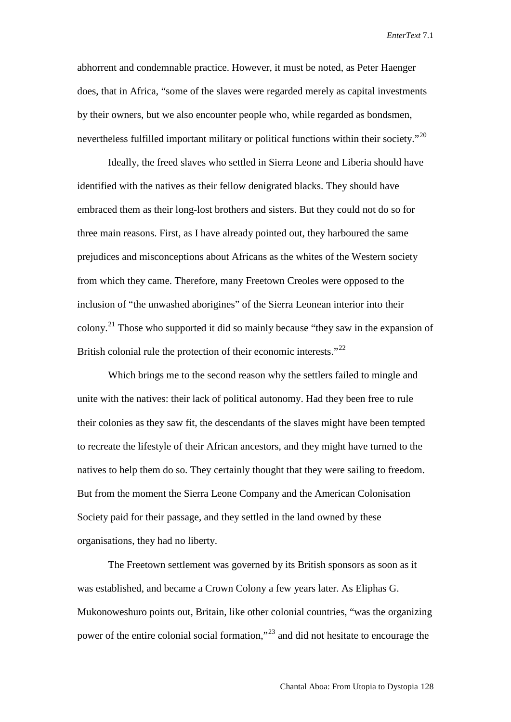abhorrent and condemnable practice. However, it must be noted, as Peter Haenger does, that in Africa, "some of the slaves were regarded merely as capital investments by their owners, but we also encounter people who, while regarded as bondsmen, nevertheless fulfilled important military or political functions within their society."<sup>[20](#page-18-18)</sup>

Ideally, the freed slaves who settled in Sierra Leone and Liberia should have identified with the natives as their fellow denigrated blacks. They should have embraced them as their long-lost brothers and sisters. But they could not do so for three main reasons. First, as I have already pointed out, they harboured the same prejudices and misconceptions about Africans as the whites of the Western society from which they came. Therefore, many Freetown Creoles were opposed to the inclusion of "the unwashed aborigines" of the Sierra Leonean interior into their colony.<sup>[21](#page-18-19)</sup> Those who supported it did so mainly because "they saw in the expansion of British colonial rule the protection of their economic interests."<sup>[22](#page-18-20)</sup>

Which brings me to the second reason why the settlers failed to mingle and unite with the natives: their lack of political autonomy. Had they been free to rule their colonies as they saw fit, the descendants of the slaves might have been tempted to recreate the lifestyle of their African ancestors, and they might have turned to the natives to help them do so. They certainly thought that they were sailing to freedom. But from the moment the Sierra Leone Company and the American Colonisation Society paid for their passage, and they settled in the land owned by these organisations, they had no liberty.

The Freetown settlement was governed by its British sponsors as soon as it was established, and became a Crown Colony a few years later. As Eliphas G. Mukonoweshuro points out, Britain, like other colonial countries, "was the organizing power of the entire colonial social formation,"[23](#page-18-21) and did not hesitate to encourage the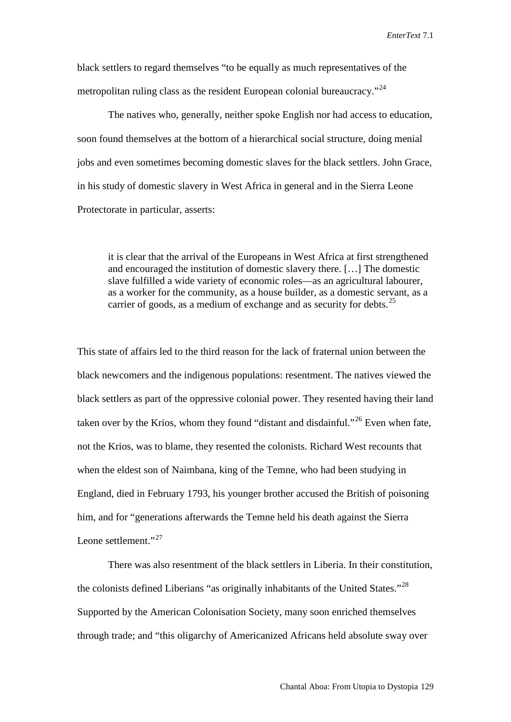black settlers to regard themselves "to be equally as much representatives of the metropolitan ruling class as the resident European colonial bureaucracy."<sup>[24](#page-18-22)</sup>

The natives who, generally, neither spoke English nor had access to education, soon found themselves at the bottom of a hierarchical social structure, doing menial jobs and even sometimes becoming domestic slaves for the black settlers. John Grace, in his study of domestic slavery in West Africa in general and in the Sierra Leone Protectorate in particular, asserts:

it is clear that the arrival of the Europeans in West Africa at first strengthened and encouraged the institution of domestic slavery there. […] The domestic slave fulfilled a wide variety of economic roles—as an agricultural labourer, as a worker for the community, as a house builder, as a domestic servant, as a carrier of goods, as a medium of exchange and as security for debts.<sup>[25](#page-18-23)</sup>

This state of affairs led to the third reason for the lack of fraternal union between the black newcomers and the indigenous populations: resentment. The natives viewed the black settlers as part of the oppressive colonial power. They resented having their land taken over by the Krios, whom they found "distant and disdainful."[26](#page-18-24) Even when fate, not the Krios, was to blame, they resented the colonists. Richard West recounts that when the eldest son of Naimbana, king of the Temne, who had been studying in England, died in February 1793, his younger brother accused the British of poisoning him, and for "generations afterwards the Temne held his death against the Sierra Leone settlement."<sup>[27](#page-18-25)</sup>

There was also resentment of the black settlers in Liberia. In their constitution, the colonists defined Liberians "as originally inhabitants of the United States."<sup>[28](#page-18-26)</sup> Supported by the American Colonisation Society, many soon enriched themselves through trade; and "this oligarchy of Americanized Africans held absolute sway over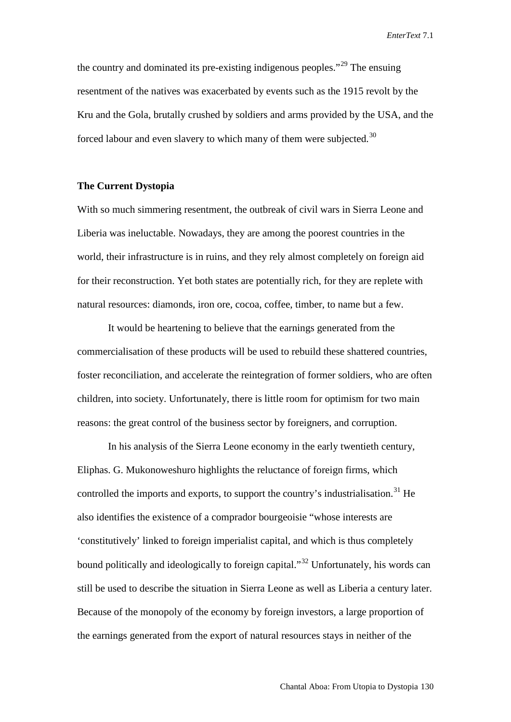the country and dominated its pre-existing indigenous peoples."<sup>[29](#page-18-27)</sup> The ensuing resentment of the natives was exacerbated by events such as the 1915 revolt by the Kru and the Gola, brutally crushed by soldiers and arms provided by the USA, and the forced labour and even slavery to which many of them were subjected.<sup>[30](#page-18-28)</sup>

#### **The Current Dystopia**

With so much simmering resentment, the outbreak of civil wars in Sierra Leone and Liberia was ineluctable. Nowadays, they are among the poorest countries in the world, their infrastructure is in ruins, and they rely almost completely on foreign aid for their reconstruction. Yet both states are potentially rich, for they are replete with natural resources: diamonds, iron ore, cocoa, coffee, timber, to name but a few.

It would be heartening to believe that the earnings generated from the commercialisation of these products will be used to rebuild these shattered countries, foster reconciliation, and accelerate the reintegration of former soldiers, who are often children, into society. Unfortunately, there is little room for optimism for two main reasons: the great control of the business sector by foreigners, and corruption.

In his analysis of the Sierra Leone economy in the early twentieth century, Eliphas. G. Mukonoweshuro highlights the reluctance of foreign firms, which controlled the imports and exports, to support the country's industrialisation.<sup>[31](#page-18-29)</sup> He also identifies the existence of a comprador bourgeoisie "whose interests are 'constitutively' linked to foreign imperialist capital, and which is thus completely bound politically and ideologically to foreign capital."<sup>[32](#page-18-30)</sup> Unfortunately, his words can still be used to describe the situation in Sierra Leone as well as Liberia a century later. Because of the monopoly of the economy by foreign investors, a large proportion of the earnings generated from the export of natural resources stays in neither of the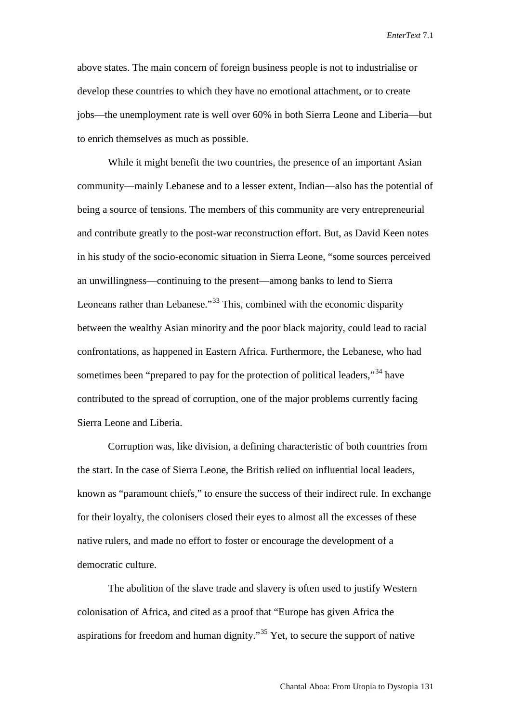above states. The main concern of foreign business people is not to industrialise or develop these countries to which they have no emotional attachment, or to create jobs—the unemployment rate is well over 60% in both Sierra Leone and Liberia—but to enrich themselves as much as possible.

While it might benefit the two countries, the presence of an important Asian community—mainly Lebanese and to a lesser extent, Indian—also has the potential of being a source of tensions. The members of this community are very entrepreneurial and contribute greatly to the post-war reconstruction effort. But, as David Keen notes in his study of the socio-economic situation in Sierra Leone, "some sources perceived an unwillingness—continuing to the present—among banks to lend to Sierra Leoneans rather than Lebanese."<sup>[33](#page-18-31)</sup> This, combined with the economic disparity between the wealthy Asian minority and the poor black majority, could lead to racial confrontations, as happened in Eastern Africa. Furthermore, the Lebanese, who had sometimes been "prepared to pay for the protection of political leaders,"<sup>[34](#page-18-32)</sup> have contributed to the spread of corruption, one of the major problems currently facing Sierra Leone and Liberia.

Corruption was, like division, a defining characteristic of both countries from the start. In the case of Sierra Leone, the British relied on influential local leaders, known as "paramount chiefs," to ensure the success of their indirect rule. In exchange for their loyalty, the colonisers closed their eyes to almost all the excesses of these native rulers, and made no effort to foster or encourage the development of a democratic culture.

The abolition of the slave trade and slavery is often used to justify Western colonisation of Africa, and cited as a proof that "Europe has given Africa the aspirations for freedom and human dignity."[35](#page-18-33) Yet, to secure the support of native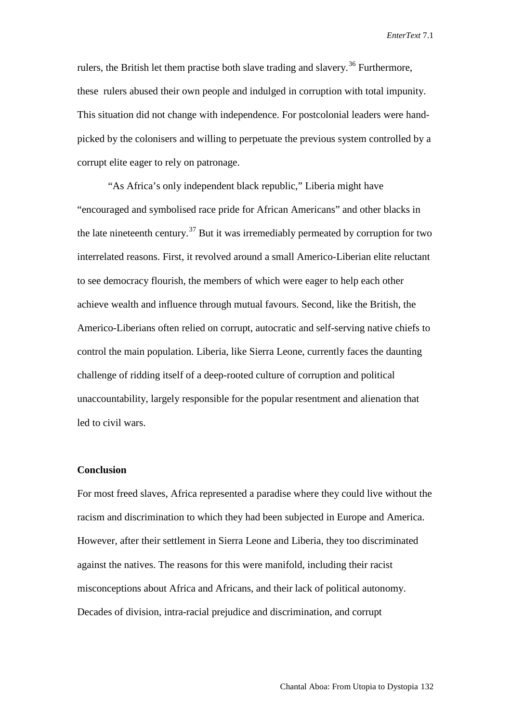rulers, the British let them practise both slave trading and slavery.<sup>[36](#page-18-34)</sup> Furthermore, these rulers abused their own people and indulged in corruption with total impunity. This situation did not change with independence. For postcolonial leaders were handpicked by the colonisers and willing to perpetuate the previous system controlled by a corrupt elite eager to rely on patronage.

"As Africa's only independent black republic," Liberia might have "encouraged and symbolised race pride for African Americans" and other blacks in the late nineteenth century.<sup>[37](#page-18-35)</sup> But it was irremediably permeated by corruption for two interrelated reasons. First, it revolved around a small Americo-Liberian elite reluctant to see democracy flourish, the members of which were eager to help each other achieve wealth and influence through mutual favours. Second, like the British, the Americo-Liberians often relied on corrupt, autocratic and self-serving native chiefs to control the main population. Liberia, like Sierra Leone, currently faces the daunting challenge of ridding itself of a deep-rooted culture of corruption and political unaccountability, largely responsible for the popular resentment and alienation that led to civil wars.

## **Conclusion**

For most freed slaves, Africa represented a paradise where they could live without the racism and discrimination to which they had been subjected in Europe and America. However, after their settlement in Sierra Leone and Liberia, they too discriminated against the natives. The reasons for this were manifold, including their racist misconceptions about Africa and Africans, and their lack of political autonomy. Decades of division, intra-racial prejudice and discrimination, and corrupt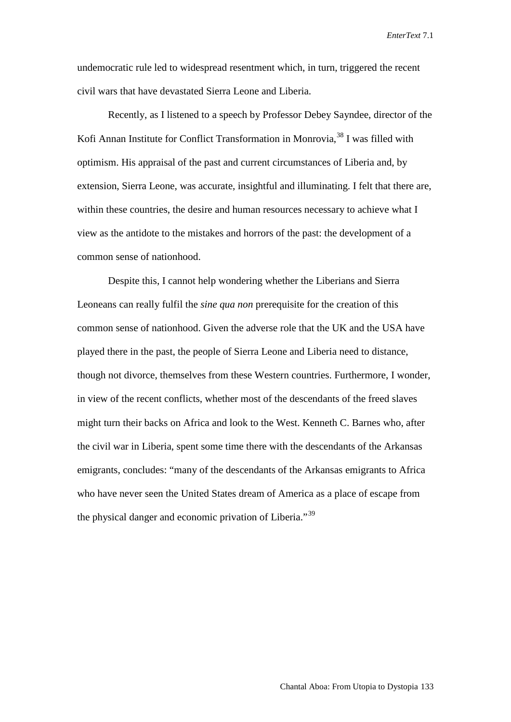undemocratic rule led to widespread resentment which, in turn, triggered the recent civil wars that have devastated Sierra Leone and Liberia.

Recently, as I listened to a speech by Professor Debey Sayndee, director of the Kofi Annan Institute for Conflict Transformation in Monrovia,<sup>[38](#page-18-36)</sup> I was filled with optimism. His appraisal of the past and current circumstances of Liberia and, by extension, Sierra Leone, was accurate, insightful and illuminating. I felt that there are, within these countries, the desire and human resources necessary to achieve what I view as the antidote to the mistakes and horrors of the past: the development of a common sense of nationhood.

Despite this, I cannot help wondering whether the Liberians and Sierra Leoneans can really fulfil the *sine qua non* prerequisite for the creation of this common sense of nationhood. Given the adverse role that the UK and the USA have played there in the past, the people of Sierra Leone and Liberia need to distance, though not divorce, themselves from these Western countries. Furthermore, I wonder, in view of the recent conflicts, whether most of the descendants of the freed slaves might turn their backs on Africa and look to the West. Kenneth C. Barnes who, after the civil war in Liberia, spent some time there with the descendants of the Arkansas emigrants, concludes: "many of the descendants of the Arkansas emigrants to Africa who have never seen the United States dream of America as a place of escape from the physical danger and economic privation of Liberia."<sup>[39](#page-18-37)</sup>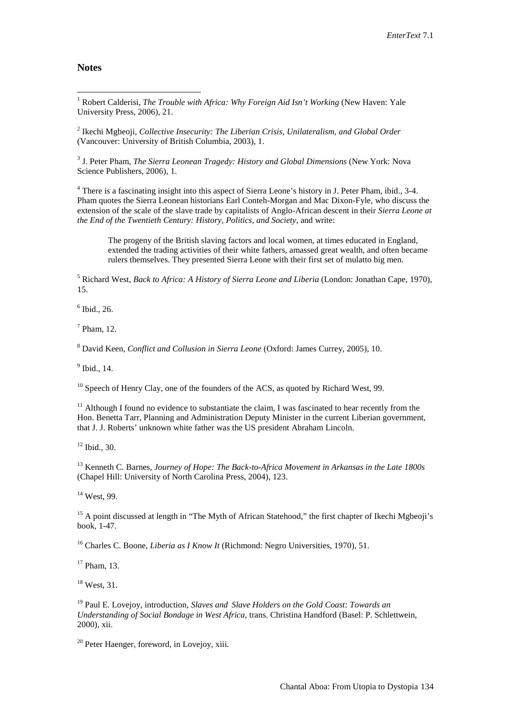#### **Notes**

<span id="page-17-0"></span><sup>1</sup> Robert Calderisi, *The Trouble with Africa: Why Foreign Aid Isn't Working* (New Haven: Yale University Press, 2006), 21.

<sup>2</sup> Ikechi Mgbeoji, *Collective Insecurity: The Liberian Crisis, Unilateralism, and Global Order* (Vancouver: University of British Columbia, 2003), 1.

<sup>3</sup> J. Peter Pham, *The Sierra Leonean Tragedy: History and Global Dimensions* (New York: Nova Science Publishers, 2006), 1.

<sup>4</sup> There is a fascinating insight into this aspect of Sierra Leone's history in J. Peter Pham, ibid., 3-4. Pham quotes the Sierra Leonean historians Earl Conteh-Morgan and Mac Dixon-Fyle, who discuss the extension of the scale of the slave trade by capitalists of Anglo-African descent in their *Sierra Leone at the End of the Twentieth Century: History, Politics, and Society*, and write:

The progeny of the British slaving factors and local women, at times educated in England, extended the trading activities of their white fathers, amassed great wealth, and often became rulers themselves. They presented Sierra Leone with their first set of mulatto big men.

<sup>5</sup> Richard West, *Back to Africa: A History of Sierra Leone and Liberia* (London: Jonathan Cape, 1970), 15.

 $6$  Ibid., 26.

 $<sup>7</sup>$  Pham, 12.</sup>

<sup>8</sup> David Keen, *Conflict and Collusion in Sierra Leone* (Oxford: James Currey, 2005), 10.

<sup>9</sup> Ibid., 14.

 $10$  Speech of Henry Clay, one of the founders of the ACS, as quoted by Richard West, 99.

 $11$  Although I found no evidence to substantiate the claim, I was fascinated to hear recently from the Hon. Benetta Tarr, Planning and Administration Deputy Minister in the current Liberian government, that J. J. Roberts' unknown white father was the US president Abraham Lincoln.

 $12$  Ibid., 30.

<sup>13</sup> Kenneth C. Barnes, *Journey of Hope: The Back-to-Africa Movement in Arkansas in the Late 1800s* (Chapel Hill: University of North Carolina Press, 2004), 123.

<sup>14</sup> West, 99.

<sup>15</sup> A point discussed at length in "The Myth of African Statehood," the first chapter of Ikechi Mgbeoji's book, 1-47.

<sup>16</sup> Charles C. Boone, *Liberia as I Know It* (Richmond: Negro Universities, 1970), 51.

<sup>17</sup> Pham, 13.

 $18$  West, 31.

<sup>19</sup> Paul E. Lovejoy, introduction, *Slaves and Slave Holders on the Gold Coast: Towards an Understanding of Social Bondage in West Africa*, trans. Christina Handford (Basel: P. Schlettwein, 2000), xii.

<sup>20</sup> Peter Haenger, foreword, in Lovejoy, xiii.